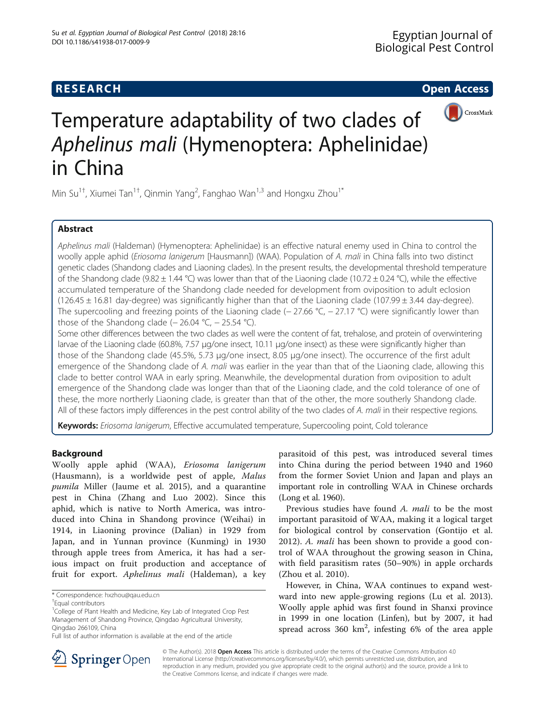

# Temperature adaptability of two clades of Aphelinus mali (Hymenoptera: Aphelinidae) in China

Min Su<sup>1†</sup>, Xiumei Tan<sup>1†</sup>, Qinmin Yang<sup>2</sup>, Fanghao Wan<sup>1,3</sup> and Hongxu Zhou<sup>1\*</sup>

# Abstract

Aphelinus mali (Haldeman) (Hymenoptera: Aphelinidae) is an effective natural enemy used in China to control the woolly apple aphid (*Eriosoma lanigerum* [Hausmann]) (WAA). Population of A. mali in China falls into two distinct genetic clades (Shandong clades and Liaoning clades). In the present results, the developmental threshold temperature of the Shandong clade (9.82  $\pm$  1.44 °C) was lower than that of the Liaoning clade (10.72  $\pm$  0.24 °C), while the effective accumulated temperature of the Shandong clade needed for development from oviposition to adult eclosion  $(126.45 \pm 16.81$  day-degree) was significantly higher than that of the Liaoning clade (107.99  $\pm$  3.44 day-degree). The supercooling and freezing points of the Liaoning clade (−27.66 °C, −27.17 °C) were significantly lower than those of the Shandong clade ( $-$  26.04 °C,  $-$  25.54 °C).

Some other differences between the two clades as well were the content of fat, trehalose, and protein of overwintering larvae of the Liaoning clade (60.8%, 7.57 μg/one insect, 10.11 μg/one insect) as these were significantly higher than those of the Shandong clade (45.5%, 5.73 μg/one insect, 8.05 μg/one insect). The occurrence of the first adult emergence of the Shandong clade of A. mali was earlier in the year than that of the Liaoning clade, allowing this clade to better control WAA in early spring. Meanwhile, the developmental duration from oviposition to adult emergence of the Shandong clade was longer than that of the Liaoning clade, and the cold tolerance of one of these, the more northerly Liaoning clade, is greater than that of the other, the more southerly Shandong clade. All of these factors imply differences in the pest control ability of the two clades of A. mali in their respective regions.

Keywords: Eriosoma lanigerum, Effective accumulated temperature, Supercooling point, Cold tolerance

# Background

Woolly apple aphid (WAA), Eriosoma lanigerum (Hausmann), is a worldwide pest of apple, Malus pumila Miller (Jaume et al. [2015\)](#page-5-0), and a quarantine pest in China (Zhang and Luo [2002\)](#page-5-0). Since this aphid, which is native to North America, was introduced into China in Shandong province (Weihai) in 1914, in Liaoning province (Dalian) in 1929 from Japan, and in Yunnan province (Kunming) in 1930 through apple trees from America, it has had a serious impact on fruit production and acceptance of fruit for export. Aphelinus mali (Haldeman), a key

parasitoid of this pest, was introduced several times into China during the period between 1940 and 1960 from the former Soviet Union and Japan and plays an important role in controlling WAA in Chinese orchards (Long et al. [1960\)](#page-5-0).

Previous studies have found A. mali to be the most important parasitoid of WAA, making it a logical target for biological control by conservation (Gontijo et al. [2012\)](#page-5-0). A. mali has been shown to provide a good control of WAA throughout the growing season in China, with field parasitism rates (50–90%) in apple orchards (Zhou et al. [2010](#page-6-0)).

However, in China, WAA continues to expand westward into new apple-growing regions (Lu et al. [2013](#page-5-0)). Woolly apple aphid was first found in Shanxi province in 1999 in one location (Linfen), but by 2007, it had spread across  $360 \text{ km}^2$ , infesting  $6\%$  of the area apple



© The Author(s). 2018 Open Access This article is distributed under the terms of the Creative Commons Attribution 4.0 International License ([http://creativecommons.org/licenses/by/4.0/\)](http://creativecommons.org/licenses/by/4.0/), which permits unrestricted use, distribution, and reproduction in any medium, provided you give appropriate credit to the original author(s) and the source, provide a link to the Creative Commons license, and indicate if changes were made.

<sup>\*</sup> Correspondence: [hxzhou@qau.edu.cn](mailto:hxzhou@qau.edu.cn) †

Equal contributors

<sup>&</sup>lt;sup>1</sup>College of Plant Health and Medicine, Key Lab of Integrated Crop Pest Management of Shandong Province, Qingdao Agricultural University, Qingdao 266109, China

Full list of author information is available at the end of the article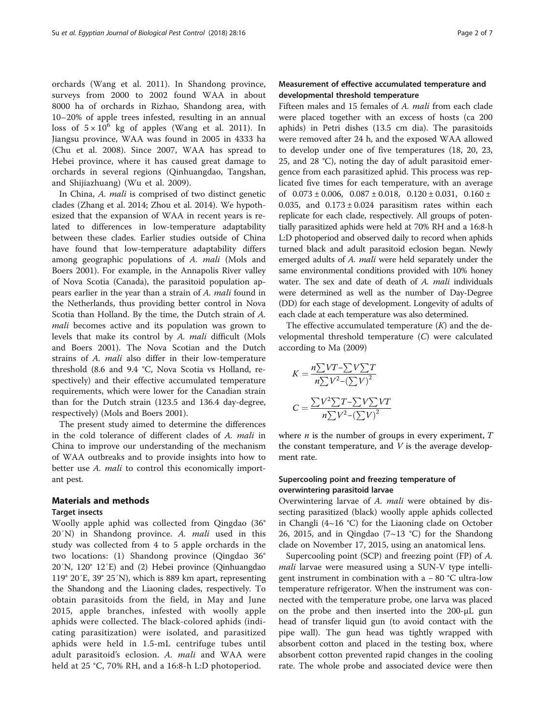orchards (Wang et al. [2011](#page-5-0)). In Shandong province, surveys from 2000 to 2002 found WAA in about 8000 ha of orchards in Rizhao, Shandong area, with 10–20% of apple trees infested, resulting in an annual loss of  $5 \times 10^6$  kg of apples (Wang et al. [2011](#page-5-0)). In Jiangsu province, WAA was found in 2005 in 4333 ha (Chu et al. [2008](#page-5-0)). Since 2007, WAA has spread to Hebei province, where it has caused great damage to orchards in several regions (Qinhuangdao, Tangshan, and Shijiazhuang) (Wu et al. [2009](#page-5-0)).

In China, A. mali is comprised of two distinct genetic clades (Zhang et al. [2014;](#page-5-0) Zhou et al. [2014](#page-6-0)). We hypothesized that the expansion of WAA in recent years is related to differences in low-temperature adaptability between these clades. Earlier studies outside of China have found that low-temperature adaptability differs among geographic populations of A. mali (Mols and Boers [2001\)](#page-5-0). For example, in the Annapolis River valley of Nova Scotia (Canada), the parasitoid population appears earlier in the year than a strain of A. mali found in the Netherlands, thus providing better control in Nova Scotia than Holland. By the time, the Dutch strain of A. mali becomes active and its population was grown to levels that make its control by A. mali difficult (Mols and Boers [2001\)](#page-5-0). The Nova Scotian and the Dutch strains of A. mali also differ in their low-temperature threshold (8.6 and 9.4 °C, Nova Scotia vs Holland, respectively) and their effective accumulated temperature requirements, which were lower for the Canadian strain than for the Dutch strain (123.5 and 136.4 day-degree, respectively) (Mols and Boers [2001](#page-5-0)).

The present study aimed to determine the differences in the cold tolerance of different clades of A. mali in China to improve our understanding of the mechanism of WAA outbreaks and to provide insights into how to better use A. mali to control this economically important pest.

#### Materials and methods

#### Target insects

Woolly apple aphid was collected from Qingdao (36°  $20'N$ ) in Shandong province. A. mali used in this study was collected from 4 to 5 apple orchards in the two locations: (1) Shandong province (Qingdao 36° 20′N, 120° 12′E) and (2) Hebei province (Qinhuangdao 119° 20′E, 39° 25′N), which is 889 km apart, representing the Shandong and the Liaoning clades, respectively. To obtain parasitoids from the field, in May and June 2015, apple branches, infested with woolly apple aphids were collected. The black-colored aphids (indicating parasitization) were isolated, and parasitized aphids were held in 1.5-mL centrifuge tubes until adult parasitoid's eclosion. A. *mali* and WAA were held at 25 °C, 70% RH, and a 16:8-h L:D photoperiod.

# Measurement of effective accumulated temperature and developmental threshold temperature

Fifteen males and 15 females of A. mali from each clade were placed together with an excess of hosts (ca 200 aphids) in Petri dishes (13.5 cm dia). The parasitoids were removed after 24 h, and the exposed WAA allowed to develop under one of five temperatures (18, 20, 23, 25, and 28 °C), noting the day of adult parasitoid emergence from each parasitized aphid. This process was replicated five times for each temperature, with an average of  $0.073 \pm 0.006$ ,  $0.087 \pm 0.018$ ,  $0.120 \pm 0.031$ ,  $0.160 \pm 0.031$ 0.035, and  $0.173 \pm 0.024$  parasitism rates within each replicate for each clade, respectively. All groups of potentially parasitized aphids were held at 70% RH and a 16:8-h L:D photoperiod and observed daily to record when aphids turned black and adult parasitoid eclosion began. Newly emerged adults of A. mali were held separately under the same environmental conditions provided with 10% honey water. The sex and date of death of A. *mali* individuals were determined as well as the number of Day-Degree (DD) for each stage of development. Longevity of adults of each clade at each temperature was also determined.

The effective accumulated temperature  $(K)$  and the developmental threshold temperature (C) were calculated according to Ma [\(2009\)](#page-5-0)

$$
K = \frac{n \sum VT - \sum V \sum T}{n \sum V^2 - (\sum V)^2}
$$

$$
C = \frac{\sum V^2 \sum T - \sum V \sum VT}{n \sum V^2 - (\sum V)^2}
$$

where  $n$  is the number of groups in every experiment,  $T$ the constant temperature, and  $V$  is the average development rate.

## Supercooling point and freezing temperature of overwintering parasitoid larvae

Overwintering larvae of A. mali were obtained by dissecting parasitized (black) woolly apple aphids collected in Changli (4~16 °C) for the Liaoning clade on October 26, 2015, and in Qingdao  $(7{\sim}13 \text{ °C})$  for the Shandong clade on November 17, 2015, using an anatomical lens.

Supercooling point (SCP) and freezing point (FP) of A. mali larvae were measured using a SUN-V type intelligent instrument in combination with a − 80 °C ultra-low temperature refrigerator. When the instrument was connected with the temperature probe, one larva was placed on the probe and then inserted into the 200-μL gun head of transfer liquid gun (to avoid contact with the pipe wall). The gun head was tightly wrapped with absorbent cotton and placed in the testing box, where absorbent cotton prevented rapid changes in the cooling rate. The whole probe and associated device were then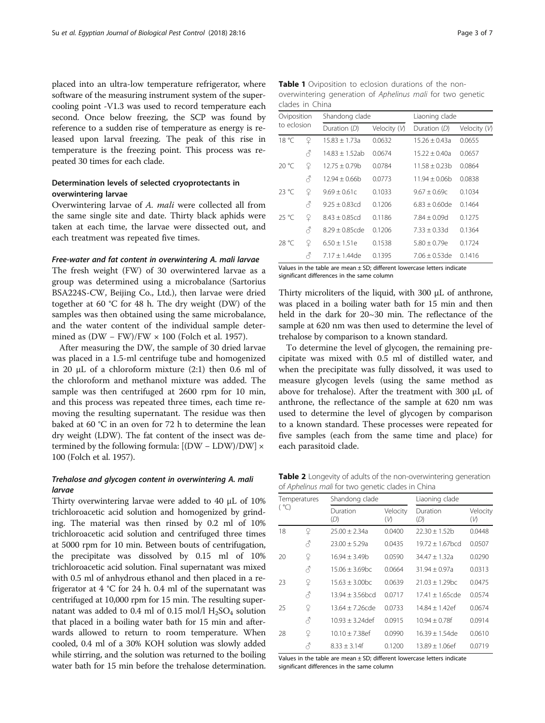<span id="page-2-0"></span>placed into an ultra-low temperature refrigerator, where software of the measuring instrument system of the supercooling point -V1.3 was used to record temperature each second. Once below freezing, the SCP was found by reference to a sudden rise of temperature as energy is released upon larval freezing. The peak of this rise in temperature is the freezing point. This process was repeated 30 times for each clade.

# Determination levels of selected cryoprotectants in overwintering larvae

Overwintering larvae of A. mali were collected all from the same single site and date. Thirty black aphids were taken at each time, the larvae were dissected out, and each treatment was repeated five times.

#### Free-water and fat content in overwintering A. mali larvae

The fresh weight (FW) of 30 overwintered larvae as a group was determined using a microbalance (Sartorius BSA224S-CW, Beijing Co., Ltd.), then larvae were dried together at 60 °C for 48 h. The dry weight (DW) of the samples was then obtained using the same microbalance, and the water content of the individual sample determined as  $(DW - FW)/FW \times 100$  (Folch et al. [1957](#page-5-0)).

After measuring the DW, the sample of 30 dried larvae was placed in a 1.5-ml centrifuge tube and homogenized in 20 μL of a chloroform mixture (2:1) then 0.6 ml of the chloroform and methanol mixture was added. The sample was then centrifuged at 2600 rpm for 10 min, and this process was repeated three times, each time removing the resulting supernatant. The residue was then baked at 60 °C in an oven for 72 h to determine the lean dry weight (LDW). The fat content of the insect was determined by the following formula:  $[(DW - LDW)/DW] \times$ 100 (Folch et al. [1957](#page-5-0)).

# Trehalose and glycogen content in overwintering A. mali larvae

Thirty overwintering larvae were added to 40 μL of 10% trichloroacetic acid solution and homogenized by grinding. The material was then rinsed by 0.2 ml of 10% trichloroacetic acid solution and centrifuged three times at 5000 rpm for 10 min. Between bouts of centrifugation, the precipitate was dissolved by 0.15 ml of 10% trichloroacetic acid solution. Final supernatant was mixed with 0.5 ml of anhydrous ethanol and then placed in a refrigerator at 4 °C for 24 h. 0.4 ml of the supernatant was centrifuged at 10,000 rpm for 15 min. The resulting supernatant was added to 0.4 ml of 0.15 mol/l  $H<sub>2</sub>SO<sub>4</sub>$  solution that placed in a boiling water bath for 15 min and afterwards allowed to return to room temperature. When cooled, 0.4 ml of a 30% KOH solution was slowly added while stirring, and the solution was returned to the boiling water bath for 15 min before the trehalose determination.

Table 1 Oviposition to eclosion durations of the nonoverwintering generation of Aphelinus mali for two genetic clades in China

| Oviposition<br>to eclosion |   | Shandong clade    |              | Liaoning clade    |              |
|----------------------------|---|-------------------|--------------|-------------------|--------------|
|                            |   | Duration (D)      | Velocity (V) | Duration (D)      | Velocity (V) |
| 18 °C                      | ¥ | $15.83 \pm 1.73a$ | 0.0632       | $15.26 \pm 0.43a$ | 0.0655       |
|                            | 8 | $14.83 + 1.52ab$  | 0.0674       | $15.22 + 0.40a$   | 0.0657       |
| 20 °C                      | ¥ | $12.75 + 0.79b$   | 0.0784       | 11.58 + 0.23b     | 0.0864       |
|                            | Â | $12.94 + 0.66$    | 0.0773       | $11.94 \pm 0.06h$ | 0.0838       |
| 23 °C                      | ¥ | $9.69 + 0.61c$    | 0.1033       | $9.67 \pm 0.69c$  | 0.1034       |
|                            | Â | $9.25 + 0.83$ cd  | 0.1206       | $6.83 + 0.60$ de  | 0.1464       |
| 25 °C                      | ¥ | $8.43 + 0.85cd$   | 0.1186       | $7.84 + 0.09d$    | 0.1275       |
|                            | Â | $8.29 + 0.85$ cde | 0.1206       | $7.33 + 0.33d$    | 0.1364       |
| 28 °C                      | ¥ | $6.50 + 1.51e$    | 0.1538       | $5.80 + 0.79e$    | 0.1724       |
|                            | 8 | $7.17 + 1.44$ de  | 0.1395       | $7.06 + 0.53$ de  | 0.1416       |

Values in the table are mean ± SD; different lowercase letters indicate significant differences in the same column

Thirty microliters of the liquid, with 300 μL of anthrone, was placed in a boiling water bath for 15 min and then held in the dark for 20~30 min. The reflectance of the sample at 620 nm was then used to determine the level of trehalose by comparison to a known standard.

To determine the level of glycogen, the remaining precipitate was mixed with 0.5 ml of distilled water, and when the precipitate was fully dissolved, it was used to measure glycogen levels (using the same method as above for trehalose). After the treatment with 300 μL of anthrone, the reflectance of the sample at 620 nm was used to determine the level of glycogen by comparison to a known standard. These processes were repeated for five samples (each from the same time and place) for each parasitoid clade.

**Table 2** Longevity of adults of the non-overwintering generation of Aphelinus mali for two genetic clades in China

| Temperatures<br>( °C) |   | Shandong clade     |                 | Liaoning clade     |                 |
|-----------------------|---|--------------------|-----------------|--------------------|-----------------|
|                       |   | Duration<br>(D)    | Velocity<br>(V) | Duration<br>(D)    | Velocity<br>(V) |
| 18                    | ¥ | $25.00 + 2.34a$    | 0.0400          | $22.30 + 1.52h$    | 0.0448          |
|                       | 8 | $23.00 + 5.29a$    | 0.0435          | $19.72 + 1.67$ bcd | 0.0507          |
| 20                    | ¥ | $16.94 \pm 3.49b$  | 0.0590          | $34.47 + 1.32a$    | 0.0290          |
|                       | 8 | $15.06 + 3.69$ bc  | 0.0664          | $31.94 + 0.97a$    | 0.0313          |
| 23                    | ¥ | $15.63 + 3.00$ bc  | 0.0639          | $21.03 + 1.29$ bc  | 0.0475          |
|                       | Â | $13.94 + 3.56$ bcd | 0.0717          | 17.41 + 1.65cde    | 0.0574          |
| 25                    | ¥ | $13.64 + 7.26$ cde | 0.0733          | $14.84 + 1.42$ ef  | 0.0674          |
|                       | 8 | $10.93 + 3.24$ def | 0.0915          | $10.94 + 0.78f$    | 0.0914          |
| 28                    | ¥ | $10.10 + 7.38$ ef  | 0.0990          | $16.39 + 1.54$ de  | 0.0610          |
|                       | Å | $8.33 + 3.14f$     | 0.1200          | $13.89 + 1.06$ ef  | 0.0719          |

Values in the table are mean  $\pm$  SD; different lowercase letters indicate significant differences in the same column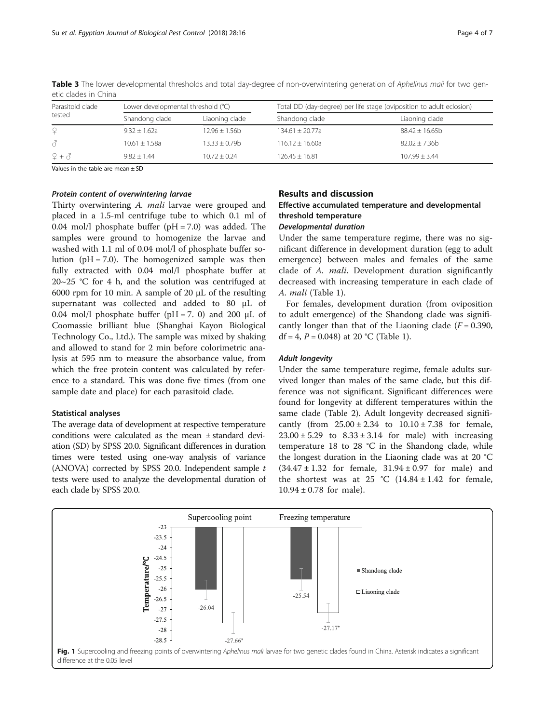| Parasitoid clade<br>tested | Lower developmental threshold (°C) |                 | Total DD (day-degree) per life stage (oviposition to adult eclosion) |                    |
|----------------------------|------------------------------------|-----------------|----------------------------------------------------------------------|--------------------|
|                            | Shandong clade                     | Liaoning clade  | Shandong clade                                                       | Liaoning clade     |
| $\Omega$                   | $9.32 + 1.62a$                     | $12.96 + 1.56b$ | $134.61 \pm 20.77a$                                                  | $88.42 \pm 16.65b$ |
| $\mathcal{E}$              | $10.61 + 1.58a$                    | $13.33 + 0.79b$ | $116.12 + 16.60a$                                                    | $82.02 + 7.36h$    |
| $2 + 3$                    | $9.82 + 1.44$                      | $10.72 + 0.24$  | $126.45 + 16.81$                                                     | $107.99 + 3.44$    |

<span id="page-3-0"></span>Table 3 The lower developmental thresholds and total day-degree of non-overwintering generation of Aphelinus mali for two genetic clades in China

Values in the table are mean  $\pm$  SD

#### Protein content of overwintering larvae

Thirty overwintering A. mali larvae were grouped and placed in a 1.5-ml centrifuge tube to which 0.1 ml of 0.04 mol/l phosphate buffer ( $pH = 7.0$ ) was added. The samples were ground to homogenize the larvae and washed with 1.1 ml of 0.04 mol/l of phosphate buffer solution  $(pH = 7.0)$ . The homogenized sample was then fully extracted with 0.04 mol/l phosphate buffer at  $20~25$  °C for 4 h, and the solution was centrifuged at 6000 rpm for 10 min. A sample of 20 μL of the resulting supernatant was collected and added to 80 μL of 0.04 mol/l phosphate buffer ( $pH = 7$ . 0) and 200  $\mu$ L of Coomassie brilliant blue (Shanghai Kayon Biological Technology Co., Ltd.). The sample was mixed by shaking and allowed to stand for 2 min before colorimetric analysis at 595 nm to measure the absorbance value, from which the free protein content was calculated by reference to a standard. This was done five times (from one sample date and place) for each parasitoid clade.

#### Statistical analyses

The average data of development at respective temperature conditions were calculated as the mean ± standard deviation (SD) by SPSS 20.0. Significant differences in duration times were tested using one-way analysis of variance (ANOVA) corrected by SPSS 20.0. Independent sample t tests were used to analyze the developmental duration of each clade by SPSS 20.0.

#### Results and discussion

# Effective accumulated temperature and developmental threshold temperature

## Developmental duration

Under the same temperature regime, there was no significant difference in development duration (egg to adult emergence) between males and females of the same clade of A. mali. Development duration significantly decreased with increasing temperature in each clade of A. mali (Table [1](#page-2-0)).

For females, development duration (from oviposition to adult emergence) of the Shandong clade was significantly longer than that of the Liaoning clade  $(F = 0.390,$ df = 4,  $P = 0.048$ ) at 20 °C (Table [1](#page-2-0)).

#### Adult longevity

Under the same temperature regime, female adults survived longer than males of the same clade, but this difference was not significant. Significant differences were found for longevity at different temperatures within the same clade (Table [2\)](#page-2-0). Adult longevity decreased significantly (from  $25.00 \pm 2.34$  to  $10.10 \pm 7.38$  for female,  $23.00 \pm 5.29$  to  $8.33 \pm 3.14$  for male) with increasing temperature 18 to 28 °C in the Shandong clade, while the longest duration in the Liaoning clade was at 20 °C  $(34.47 \pm 1.32)$  for female,  $31.94 \pm 0.97$  for male) and the shortest was at 25 °C  $(14.84 \pm 1.42)$  for female,  $10.94 \pm 0.78$  for male).

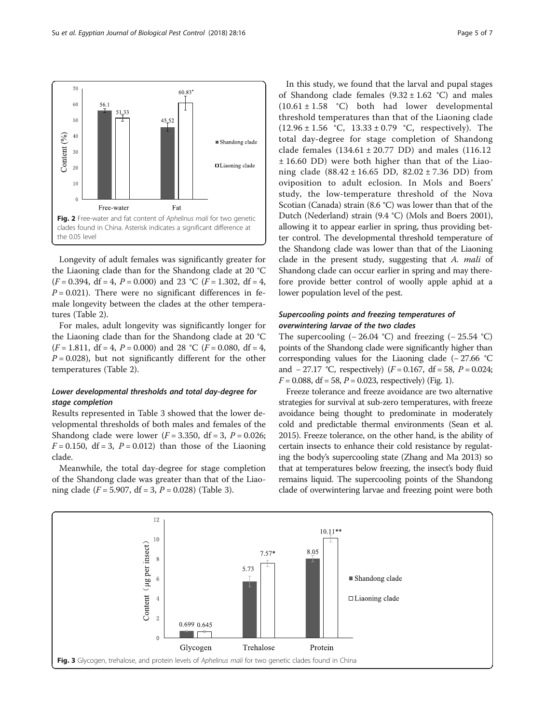<span id="page-4-0"></span>

Longevity of adult females was significantly greater for the Liaoning clade than for the Shandong clade at 20 °C  $(F = 0.394, df = 4, P = 0.000)$  and 23 °C  $(F = 1.302, df = 4,$  $P = 0.021$ ). There were no significant differences in female longevity between the clades at the other temperatures (Table [2](#page-2-0)).

For males, adult longevity was significantly longer for the Liaoning clade than for the Shandong clade at 20 °C  $(F = 1.811, df = 4, P = 0.000)$  and 28 °C  $(F = 0.080, df = 4,$  $P = 0.028$ ), but not significantly different for the other temperatures (Table [2\)](#page-2-0).

# Lower developmental thresholds and total day-degree for stage completion

Results represented in Table [3](#page-3-0) showed that the lower developmental thresholds of both males and females of the Shandong clade were lower  $(F = 3.350, df = 3, P = 0.026;$  $F = 0.150$ , df = 3, P = 0.012) than those of the Liaoning clade.

Meanwhile, the total day-degree for stage completion of the Shandong clade was greater than that of the Liaoning clade ( $F = 5.907$ , df = [3](#page-3-0),  $P = 0.028$ ) (Table 3).

In this study, we found that the larval and pupal stages of Shandong clade females  $(9.32 \pm 1.62 \degree C)$  and males  $(10.61 \pm 1.58 \degree C)$  both had lower developmental threshold temperatures than that of the Liaoning clade  $(12.96 \pm 1.56 \degree C, 13.33 \pm 0.79 \degree C,$  respectively). The total day-degree for stage completion of Shandong clade females  $(134.61 \pm 20.77 \text{ DD})$  and males  $(116.12 \text{ m})$ ± 16.60 DD) were both higher than that of the Liaoning clade (88.42 ± 16.65 DD, 82.02 ± 7.36 DD) from oviposition to adult eclosion. In Mols and Boers' study, the low-temperature threshold of the Nova Scotian (Canada) strain (8.6 °C) was lower than that of the Dutch (Nederland) strain (9.4 °C) (Mols and Boers [2001](#page-5-0)), allowing it to appear earlier in spring, thus providing better control. The developmental threshold temperature of the Shandong clade was lower than that of the Liaoning clade in the present study, suggesting that A. mali of Shandong clade can occur earlier in spring and may therefore provide better control of woolly apple aphid at a lower population level of the pest.

# Supercooling points and freezing temperatures of overwintering larvae of the two clades

The supercooling  $(-26.04 \text{ °C})$  and freezing  $(-25.54 \text{ °C})$ points of the Shandong clade were significantly higher than corresponding values for the Liaoning clade (− 27.66 °C and  $-27.17$  °C, respectively) ( $F = 0.167$ , df = 58,  $P = 0.024$ ;  $F = 0.088$ , df = 58, P = 0.023, respectively) (Fig. [1\)](#page-3-0).

Freeze tolerance and freeze avoidance are two alternative strategies for survival at sub-zero temperatures, with freeze avoidance being thought to predominate in moderately cold and predictable thermal environments (Sean et al. [2015\)](#page-5-0). Freeze tolerance, on the other hand, is the ability of certain insects to enhance their cold resistance by regulating the body's supercooling state (Zhang and Ma [2013\)](#page-5-0) so that at temperatures below freezing, the insect's body fluid remains liquid. The supercooling points of the Shandong clade of overwintering larvae and freezing point were both

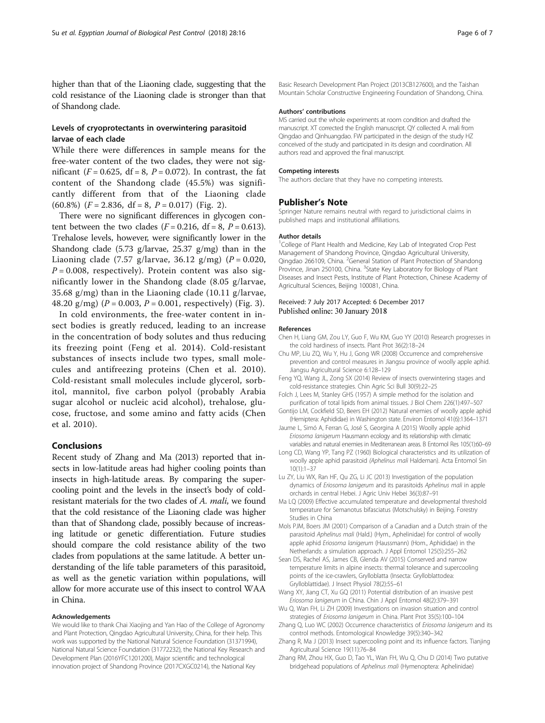<span id="page-5-0"></span>higher than that of the Liaoning clade, suggesting that the cold resistance of the Liaoning clade is stronger than that of Shandong clade.

# Levels of cryoprotectants in overwintering parasitoid larvae of each clade

While there were differences in sample means for the free-water content of the two clades, they were not significant ( $F = 0.625$ , df = 8,  $P = 0.072$ ). In contrast, the fat content of the Shandong clade (45.5%) was significantly different from that of the Liaoning clade  $(60.8\%)$   $(F = 2.836, df = 8, P = 0.017)$  $(F = 2.836, df = 8, P = 0.017)$  $(F = 2.836, df = 8, P = 0.017)$  (Fig. 2).

There were no significant differences in glycogen content between the two clades  $(F = 0.216, df = 8, P = 0.613)$ . Trehalose levels, however, were significantly lower in the Shandong clade (5.73 g/larvae, 25.37 g/mg) than in the Liaoning clade (7.57 g/larvae, 36.12 g/mg) ( $P = 0.020$ ,  $P = 0.008$ , respectively). Protein content was also significantly lower in the Shandong clade (8.05 g/larvae, 35.68 g/mg) than in the Liaoning clade (10.11 g/larvae, 48.20 g/mg) ( $P = 0.003$ ,  $P = 0.001$ , respectively) (Fig. [3\)](#page-4-0).

In cold environments, the free-water content in insect bodies is greatly reduced, leading to an increase in the concentration of body solutes and thus reducing its freezing point (Feng et al. 2014). Cold-resistant substances of insects include two types, small molecules and antifreezing proteins (Chen et al. 2010). Cold-resistant small molecules include glycerol, sorbitol, mannitol, five carbon polyol (probably Arabia sugar alcohol or nucleic acid alcohol), trehalose, glucose, fructose, and some amino and fatty acids (Chen et al. 2010).

## Conclusions

Recent study of Zhang and Ma (2013) reported that insects in low-latitude areas had higher cooling points than insects in high-latitude areas. By comparing the supercooling point and the levels in the insect's body of coldresistant materials for the two clades of A. mali, we found that the cold resistance of the Liaoning clade was higher than that of Shandong clade, possibly because of increasing latitude or genetic differentiation. Future studies should compare the cold resistance ability of the two clades from populations at the same latitude. A better understanding of the life table parameters of this parasitoid, as well as the genetic variation within populations, will allow for more accurate use of this insect to control WAA in China.

#### Acknowledgements

We would like to thank Chai Xiaojing and Yan Hao of the College of Agronomy and Plant Protection, Qingdao Agricultural University, China, for their help. This work was supported by the National Natural Science Foundation (31371994), National Natural Science Foundation (31772232), the National Key Research and Development Plan (2016YFC1201200), Major scientific and technological innovation project of Shandong Province (2017CXGC0214), the National Key

Basic Research Development Plan Project (2013CB127600), and the Taishan Mountain Scholar Constructive Engineering Foundation of Shandong, China.

#### Authors' contributions

MS carried out the whole experiments at room condition and drafted the manuscript. XT corrected the English manuscript. QY collected A. mali from Qingdao and Qinhuangdao. FW participated in the design of the study HZ conceived of the study and participated in its design and coordination. All authors read and approved the final manuscript.

#### Competing interests

The authors declare that they have no competing interests.

#### Publisher's Note

Springer Nature remains neutral with regard to jurisdictional claims in published maps and institutional affiliations.

#### Author details

<sup>1</sup>College of Plant Health and Medicine, Key Lab of Integrated Crop Pest Management of Shandong Province, Qingdao Agricultural University, Qingdao 266109, China. <sup>2</sup>General Station of Plant Protection of Shandong Province, Jinan 250100, China. <sup>3</sup>State Key Laboratory for Biology of Plant Diseases and Insect Pests, Institute of Plant Protection, Chinese Academy of Agricultural Sciences, Beijing 100081, China.

#### Received: 7 July 2017 Accepted: 6 December 2017 Published online: 30 January 2018

#### References

- Chen H, Liang GM, Zou LY, Guo F, Wu KM, Guo YY (2010) Research progresses in the cold hardiness of insects. Plant Prot 36(2):18–24
- Chu MP, Liu ZQ, Wu Y, Hu J, Gong WR (2008) Occurrence and comprehensive prevention and control measures in Jiangsu province of woolly apple aphid. Jiangsu Agricultural Science 6:128–129
- Feng YQ, Wang JL, Zong SX (2014) Review of insects overwintering stages and cold-resistance strategies. Chin Agric Sci Bull 30(9):22–25
- Folch J, Lees M, Stanley GHS (1957) A simple method for the isolation and purification of total lipids from animal tissues. J Biol Chem 226(1):497–507
- Gontijo LM, Cockfield SD, Beers EH (2012) Natural enemies of woolly apple aphid (Hemiptera: Aphididae) in Washington state. Environ Entomol 41(6):1364–1371
- Jaume L, Simó A, Ferran G, José S, Georgina A (2015) Woolly apple aphid Eriosoma lanigerum Hausmann ecology and its relationship with climatic variables and natural enemies in Mediterranean areas. B Entomol Res 105(1):60–69
- Long CD, Wang YP, Tang PZ (1960) Biological characteristics and its utilization of woolly apple aphid parasitoid (Aphelinus mali Haldeman). Acta Entomol Sin 10(1):1–37
- Lu ZY, Liu WX, Ran HF, Qu ZG, Li JC (2013) Investigation of the population dynamics of Eriosoma lanigerum and its parasitoids Aphelinus mali in apple orchards in central Hebei. J Agric Univ Hebei 36(3):87–91
- Ma LQ (2009) Effective accumulated temperature and developmental threshold temperature for Semanotus bifasciatus (Motschulsky) in Beijing. Forestry Studies in China
- Mols PJM, Boers JM (2001) Comparison of a Canadian and a Dutch strain of the parasitoid Aphelinus mali (Hald.) (Hym., Aphelinidae) for control of woolly apple aphid Eriosoma lanigerum (Haussmann) (Hom., Aphididae) in the Netherlands: a simulation approach. J Appl Entomol 125(5):255–262
- Sean DS, Rachel AS, James CB, Glenda AV (2015) Conserved and narrow temperature limits in alpine insects: thermal tolerance and supercooling points of the ice-crawlers, Grylloblatta (Insecta: Grylloblattodea: Grylloblattidae). J Insect Physiol 78(2):55–61
- Wang XY, Jiang CT, Xu GQ (2011) Potential distribution of an invasive pest Eriosoma lanigerum in China. Chin J Appl Entomol 48(2):379–<sup>391</sup>
- Wu Q, Wan FH, Li ZH (2009) Investigations on invasion situation and control strategies of Eriosoma lanigerum in China. Plant Prot 35(5):100–<sup>104</sup>
- Zhang Q, Luo WC (2002) Occurrence characteristics of Eriosoma lanigerum and its control methods. Entomological Knowledge 39(5):340–342
- Zhang R, Ma J (2013) Insect supercooling point and its influence factors. Tianjing Agricultural Science 19(11):76–84
- Zhang RM, Zhou HX, Guo D, Tao YL, Wan FH, Wu Q, Chu D (2014) Two putative bridgehead populations of Aphelinus mali (Hymenoptera: Aphelinidae)